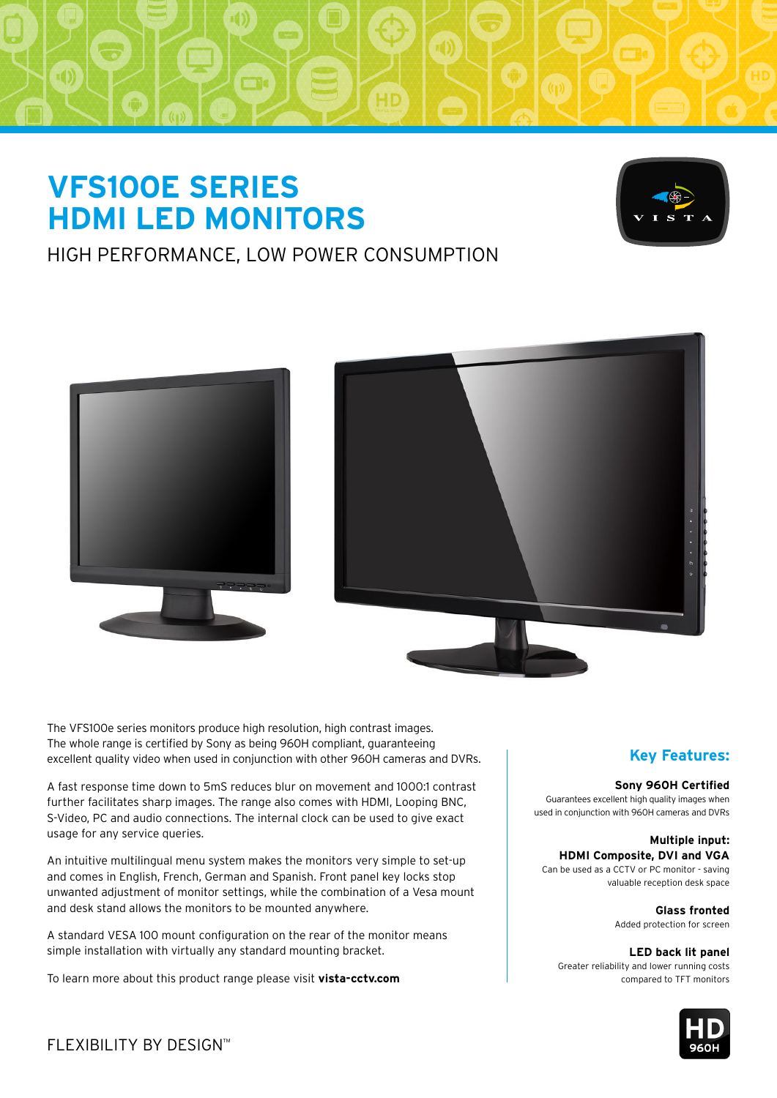# **VFS100E SERIES HDMI LED MONITORS**



# HIGH PERFORMANCE, LOW POWER CONSUMPTION





The VFS100e series monitors produce high resolution, high contrast images. The whole range is certified by Sony as being 960H compliant, guaranteeing excellent quality video when used in conjunction with other 960H cameras and DVRs.

A fast response time down to 5mS reduces blur on movement and 1000:1 contrast further facilitates sharp images. The range also comes with HDMI, Looping BNC, S-Video, PC and audio connections. The internal clock can be used to give exact usage for any service queries.

An intuitive multilingual menu system makes the monitors very simple to set-up and comes in English, French, German and Spanish. Front panel key locks stop unwanted adjustment of monitor settings, while the combination of a Vesa mount and desk stand allows the monitors to be mounted anywhere.

A standard VESA 100 mount configuration on the rear of the monitor means simple installation with virtually any standard mounting bracket.

To learn more about this product range please visit **vista-cctv.com**

### **Key Features:**

#### **Sony 960H Certified**

Guarantees excellent high quality images when used in conjunction with 960H cameras and DVRs

#### **Multiple input: HDMI Composite, DVI and VGA**

Can be used as a CCTV or PC monitor - saving valuable reception desk space

> **Glass fronted** Added protection for screen

**LED back lit panel** Greater reliability and lower running costs compared to TFT monitors